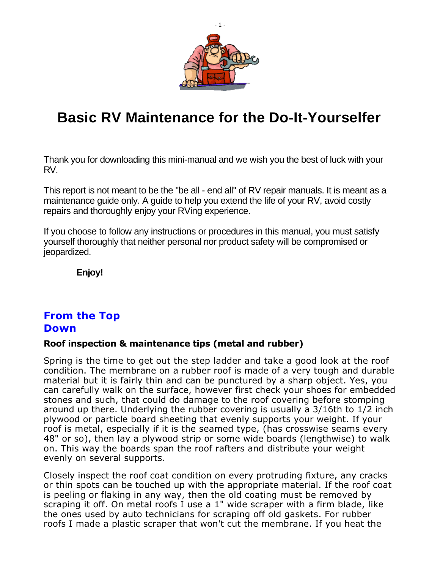

## **Basic RV Maintenance for the Do-It-Yourselfer**

Thank you for downloading this mini-manual and we wish you the best of luck with your RV.

This report is not meant to be the "be all - end all" of RV repair manuals. It is meant as a maintenance guide only. A guide to help you extend the life of your RV, avoid costly repairs and thoroughly enjoy your RVing experience.

If you choose to follow any instructions or procedures in this manual, you must satisfy yourself thoroughly that neither personal nor product safety will be compromised or jeopardized.

**Enjoy!**

## **From the Top Down**

### **Roof inspection & maintenance tips (metal and rubber)**

Spring is the time to get out the step ladder and take a good look at the roof condition. The membrane on a rubber roof is made of a very tough and durable material but it is fairly thin and can be punctured by a sharp object. Yes, you can carefully walk on the surface, however first check your shoes for embedded stones and such, that could do damage to the roof covering before stomping around up there. Underlying the rubber covering is usually a 3/16th to 1/2 inch plywood or particle board sheeting that evenly supports your weight. If your roof is metal, especially if it is the seamed type, (has crosswise seams every 48" or so), then lay a plywood strip or some wide boards (lengthwise) to walk on. This way the boards span the roof rafters and distribute your weight evenly on several supports.

Closely inspect the roof coat condition on every protruding fixture, any cracks or thin spots can be touched up with the appropriate material. If the roof coat is peeling or flaking in any way, then the old coating must be removed by scraping it off. On metal roofs I use a 1" wide scraper with a firm blade, like the ones used by auto technicians for scraping off old gaskets. For rubber roofs I made a plastic scraper that won't cut the membrane. If you heat the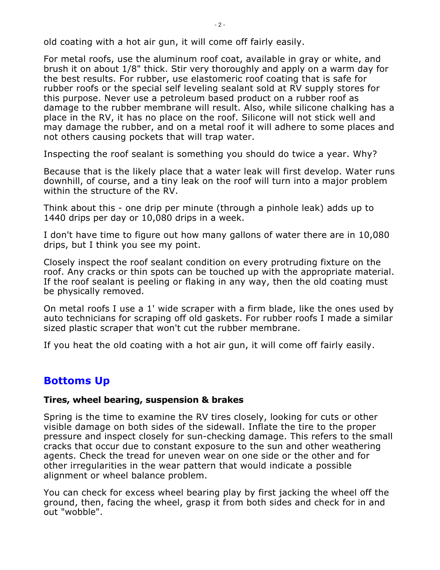old coating with a hot air gun, it will come off fairly easily.

For metal roofs, use the aluminum roof coat, available in gray or white, and brush it on about 1/8" thick. Stir very thoroughly and apply on a warm day for the best results. For rubber, use elastomeric roof coating that is safe for rubber roofs or the special self leveling sealant sold at RV supply stores for this purpose. Never use a petroleum based product on a rubber roof as damage to the rubber membrane will result. Also, while silicone chalking has a place in the RV, it has no place on the roof. Silicone will not stick well and may damage the rubber, and on a metal roof it will adhere to some places and not others causing pockets that will trap water.

Inspecting the roof sealant is something you should do twice a year. Why?

Because that is the likely place that a water leak will first develop. Water runs downhill, of course, and a tiny leak on the roof will turn into a major problem within the structure of the RV.

Think about this - one drip per minute (through a pinhole leak) adds up to 1440 drips per day or 10,080 drips in a week.

I don't have time to figure out how many gallons of water there are in 10,080 drips, but I think you see my point.

Closely inspect the roof sealant condition on every protruding fixture on the roof. Any cracks or thin spots can be touched up with the appropriate material. If the roof sealant is peeling or flaking in any way, then the old coating must be physically removed.

On metal roofs I use a 1' wide scraper with a firm blade, like the ones used by auto technicians for scraping off old gaskets. For rubber roofs I made a similar sized plastic scraper that won't cut the rubber membrane.

If you heat the old coating with a hot air gun, it will come off fairly easily.

## **Bottoms Up**

#### **Tires, wheel bearing, suspension & brakes**

Spring is the time to examine the RV tires closely, looking for cuts or other visible damage on both sides of the sidewall. Inflate the tire to the proper pressure and inspect closely for sun-checking damage. This refers to the small cracks that occur due to constant exposure to the sun and other weathering agents. Check the tread for uneven wear on one side or the other and for other irregularities in the wear pattern that would indicate a possible alignment or wheel balance problem.

You can check for excess wheel bearing play by first jacking the wheel off the ground, then, facing the wheel, grasp it from both sides and check for in and out "wobble".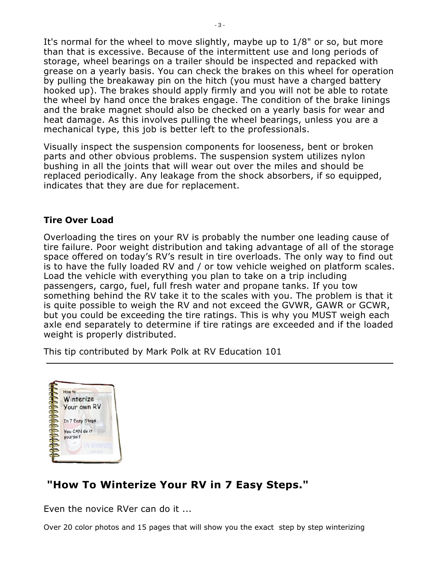It's normal for the wheel to move slightly, maybe up to 1/8" or so, but more than that is excessive. Because of the intermittent use and long periods of storage, wheel bearings on a trailer should be inspected and repacked with grease on a yearly basis. You can check the brakes on this wheel for operation by pulling the breakaway pin on the hitch (you must have a charged battery hooked up). The brakes should apply firmly and you will not be able to rotate the wheel by hand once the brakes engage. The condition of the brake linings and the brake magnet should also be checked on a yearly basis for wear and heat damage. As this involves pulling the wheel bearings, unless you are a mechanical type, this job is better left to the professionals.

Visually inspect the suspension components for looseness, bent or broken parts and other obvious problems. The suspension system utilizes nylon bushing in all the joints that will wear out over the miles and should be replaced periodically. Any leakage from the shock absorbers, if so equipped, indicates that they are due for replacement.

### **Tire Over Load**

Overloading the tires on your RV is probably the number one leading cause of tire failure. Poor weight distribution and taking advantage of all of the storage space offered on today's RV's result in tire overloads. The only way to find out is to have the fully loaded RV and / or tow vehicle weighed on platform scales. Load the vehicle with everything you plan to take on a trip including passengers, cargo, fuel, full fresh water and propane tanks. If you tow something behind the RV take it to the scales with you. The problem is that it is quite possible to weigh the RV and not exceed the GVWR, GAWR or GCWR, but you could be exceeding the tire ratings. This is why you MUST weigh each axle end separately to determine if tire ratings are exceeded and if the loaded weight is properly distributed.

This tip contributed by Mark Polk at RV Education 101



## **"How To Winterize Your RV in 7 Easy Steps."**

Even the novice RVer can do it ...

Over 20 color photos and 15 pages that will show you the exact step by step winterizing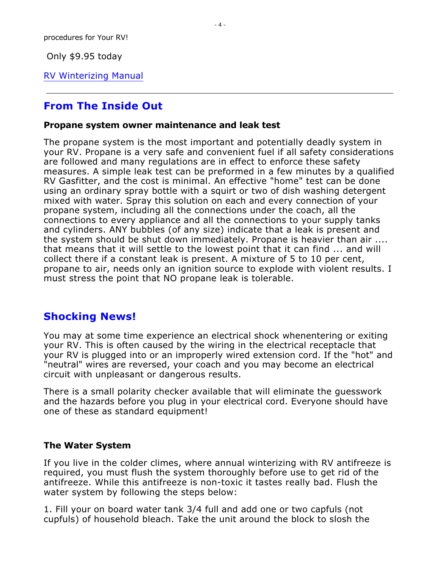Only \$9.95 today

[RV Winterizing Manual](http://www.rverscorner.com/painless.html)

## **From The Inside Out**

#### **Propane system owner maintenance and leak test**

The propane system is the most important and potentially deadly system in your RV. Propane is a very safe and convenient fuel if all safety considerations are followed and many regulations are in effect to enforce these safety measures. A simple leak test can be preformed in a few minutes by a qualified RV Gasfitter, and the cost is minimal. An effective "home" test can be done using an ordinary spray bottle with a squirt or two of dish washing detergent mixed with water. Spray this solution on each and every connection of your propane system, including all the connections under the coach, all the connections to every appliance and all the connections to your supply tanks and cylinders. ANY bubbles (of any size) indicate that a leak is present and the system should be shut down immediately. Propane is heavier than air .... that means that it will settle to the lowest point that it can find ... and will collect there if a constant leak is present. A mixture of 5 to 10 per cent, propane to air, needs only an ignition source to explode with violent results. I must stress the point that NO propane leak is tolerable.

## **Shocking News!**

You may at some time experience an electrical shock whenentering or exiting your RV. This is often caused by the wiring in the electrical receptacle that your RV is plugged into or an improperly wired extension cord. If the "hot" and "neutral" wires are reversed, your coach and you may become an electrical circuit with unpleasant or dangerous results.

There is a small polarity checker available that will eliminate the guesswork and the hazards before you plug in your electrical cord. Everyone should have one of these as standard equipment!

### **The Water System**

If you live in the colder climes, where annual winterizing with RV antifreeze is required, you must flush the system thoroughly before use to get rid of the antifreeze. While this antifreeze is non-toxic it tastes really bad. Flush the water system by following the steps below:

1. Fill your on board water tank 3/4 full and add one or two capfuls (not cupfuls) of household bleach. Take the unit around the block to slosh the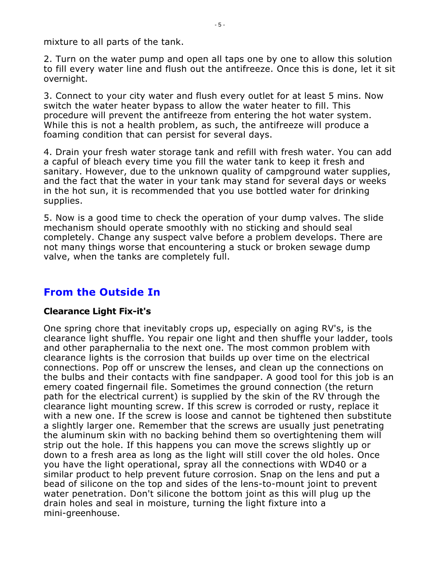mixture to all parts of the tank.

2. Turn on the water pump and open all taps one by one to allow this solution to fill every water line and flush out the antifreeze. Once this is done, let it sit overnight.

3. Connect to your city water and flush every outlet for at least 5 mins. Now switch the water heater bypass to allow the water heater to fill. This procedure will prevent the antifreeze from entering the hot water system. While this is not a health problem, as such, the antifreeze will produce a foaming condition that can persist for several days.

4. Drain your fresh water storage tank and refill with fresh water. You can add a capful of bleach every time you fill the water tank to keep it fresh and sanitary. However, due to the unknown quality of campground water supplies, and the fact that the water in your tank may stand for several days or weeks in the hot sun, it is recommended that you use bottled water for drinking supplies.

5. Now is a good time to check the operation of your dump valves. The slide mechanism should operate smoothly with no sticking and should seal completely. Change any suspect valve before a problem develops. There are not many things worse that encountering a stuck or broken sewage dump valve, when the tanks are completely full.

## **From the Outside In**

### **Clearance Light Fix-it's**

One spring chore that inevitably crops up, especially on aging RV's, is the clearance light shuffle. You repair one light and then shuffle your ladder, tools and other paraphernalia to the next one. The most common problem with clearance lights is the corrosion that builds up over time on the electrical connections. Pop off or unscrew the lenses, and clean up the connections on the bulbs and their contacts with fine sandpaper. A good tool for this job is an emery coated fingernail file. Sometimes the ground connection (the return path for the electrical current) is supplied by the skin of the RV through the clearance light mounting screw. If this screw is corroded or rusty, replace it with a new one. If the screw is loose and cannot be tightened then substitute a slightly larger one. Remember that the screws are usually just penetrating the aluminum skin with no backing behind them so overtightening them will strip out the hole. If this happens you can move the screws slightly up or down to a fresh area as long as the light will still cover the old holes. Once you have the light operational, spray all the connections with WD40 or a similar product to help prevent future corrosion. Snap on the lens and put a bead of silicone on the top and sides of the lens-to-mount joint to prevent water penetration. Don't silicone the bottom joint as this will plug up the drain holes and seal in moisture, turning the light fixture into a mini-greenhouse.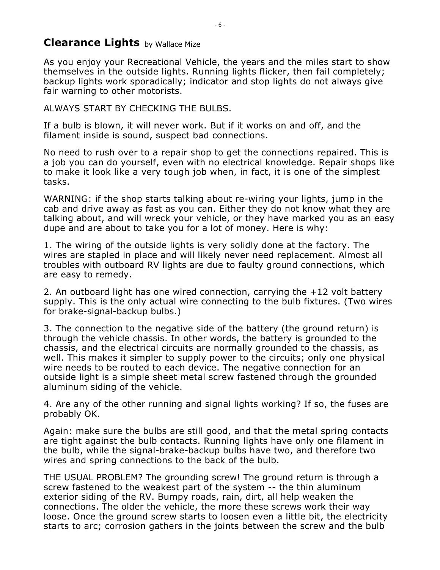## **Clearance Lights** by Wallace Mize

As you enjoy your Recreational Vehicle, the years and the miles start to show themselves in the outside lights. Running lights flicker, then fail completely; backup lights work sporadically; indicator and stop lights do not always give fair warning to other motorists.

### ALWAYS START BY CHECKING THE BULBS.

If a bulb is blown, it will never work. But if it works on and off, and the filament inside is sound, suspect bad connections.

No need to rush over to a repair shop to get the connections repaired. This is a job you can do yourself, even with no electrical knowledge. Repair shops like to make it look like a very tough job when, in fact, it is one of the simplest tasks.

WARNING: if the shop starts talking about re-wiring your lights, jump in the cab and drive away as fast as you can. Either they do not know what they are talking about, and will wreck your vehicle, or they have marked you as an easy dupe and are about to take you for a lot of money. Here is why:

1. The wiring of the outside lights is very solidly done at the factory. The wires are stapled in place and will likely never need replacement. Almost all troubles with outboard RV lights are due to faulty ground connections, which are easy to remedy.

2. An outboard light has one wired connection, carrying the +12 volt battery supply. This is the only actual wire connecting to the bulb fixtures. (Two wires for brake-signal-backup bulbs.)

3. The connection to the negative side of the battery (the ground return) is through the vehicle chassis. In other words, the battery is grounded to the chassis, and the electrical circuits are normally grounded to the chassis, as well. This makes it simpler to supply power to the circuits; only one physical wire needs to be routed to each device. The negative connection for an outside light is a simple sheet metal screw fastened through the grounded aluminum siding of the vehicle.

4. Are any of the other running and signal lights working? If so, the fuses are probably OK.

Again: make sure the bulbs are still good, and that the metal spring contacts are tight against the bulb contacts. Running lights have only one filament in the bulb, while the signal-brake-backup bulbs have two, and therefore two wires and spring connections to the back of the bulb.

THE USUAL PROBLEM? The grounding screw! The ground return is through a screw fastened to the weakest part of the system -- the thin aluminum exterior siding of the RV. Bumpy roads, rain, dirt, all help weaken the connections. The older the vehicle, the more these screws work their way loose. Once the ground screw starts to loosen even a little bit, the electricity starts to arc; corrosion gathers in the joints between the screw and the bulb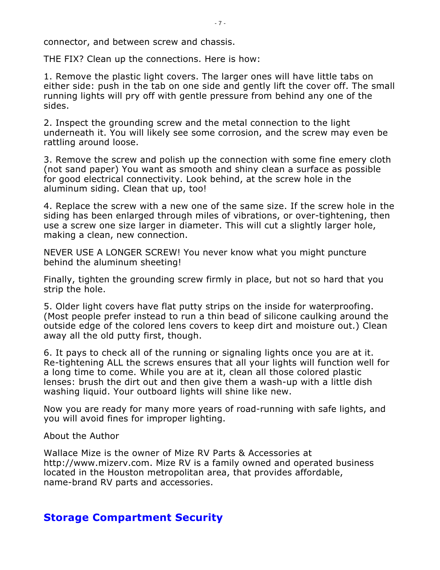connector, and between screw and chassis.

THE FIX? Clean up the connections. Here is how:

1. Remove the plastic light covers. The larger ones will have little tabs on either side: push in the tab on one side and gently lift the cover off. The small running lights will pry off with gentle pressure from behind any one of the sides.

2. Inspect the grounding screw and the metal connection to the light underneath it. You will likely see some corrosion, and the screw may even be rattling around loose.

3. Remove the screw and polish up the connection with some fine emery cloth (not sand paper) You want as smooth and shiny clean a surface as possible for good electrical connectivity. Look behind, at the screw hole in the aluminum siding. Clean that up, too!

4. Replace the screw with a new one of the same size. If the screw hole in the siding has been enlarged through miles of vibrations, or over-tightening, then use a screw one size larger in diameter. This will cut a slightly larger hole, making a clean, new connection.

NEVER USE A LONGER SCREW! You never know what you might puncture behind the aluminum sheeting!

Finally, tighten the grounding screw firmly in place, but not so hard that you strip the hole.

5. Older light covers have flat putty strips on the inside for waterproofing. (Most people prefer instead to run a thin bead of silicone caulking around the outside edge of the colored lens covers to keep dirt and moisture out.) Clean away all the old putty first, though.

6. It pays to check all of the running or signaling lights once you are at it. Re-tightening ALL the screws ensures that all your lights will function well for a long time to come. While you are at it, clean all those colored plastic lenses: brush the dirt out and then give them a wash-up with a little dish washing liquid. Your outboard lights will shine like new.

Now you are ready for many more years of road-running with safe lights, and you will avoid fines for improper lighting.

#### About the Author

Wallace Mize is the owner of Mize RV Parts & Accessories at [http://www.mizerv.com.](http://www.mizerv.com. ) Mize RV is a family owned and operated business located in the Houston metropolitan area, that provides affordable, name-brand RV parts and accessories.

## **Storage Compartment Security**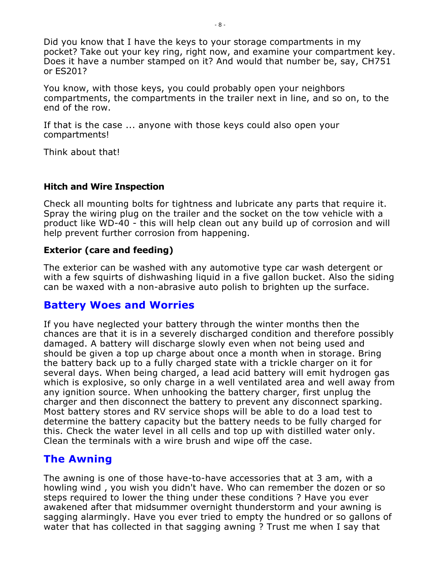Did you know that I have the keys to your storage compartments in my pocket? Take out your key ring, right now, and examine your compartment key. Does it have a number stamped on it? And would that number be, say, CH751 or ES201?

You know, with those keys, you could probably open your neighbors compartments, the compartments in the trailer next in line, and so on, to the end of the row.

If that is the case ... anyone with those keys could also open your compartments!

Think about that!

## **Hitch and Wire Inspection**

Check all mounting bolts for tightness and lubricate any parts that require it. Spray the wiring plug on the trailer and the socket on the tow vehicle with a product like WD-40 - this will help clean out any build up of corrosion and will help prevent further corrosion from happening.

## **Exterior (care and feeding)**

The exterior can be washed with any automotive type car wash detergent or with a few squirts of dishwashing liquid in a five gallon bucket. Also the siding can be waxed with a non-abrasive auto polish to brighten up the surface.

## **Battery Woes and Worries**

If you have neglected your battery through the winter months then the chances are that it is in a severely discharged condition and therefore possibly damaged. A battery will discharge slowly even when not being used and should be given a top up charge about once a month when in storage. Bring the battery back up to a fully charged state with a trickle charger on it for several days. When being charged, a lead acid battery will emit hydrogen gas which is explosive, so only charge in a well ventilated area and well away from any ignition source. When unhooking the battery charger, first unplug the charger and then disconnect the battery to prevent any disconnect sparking. Most battery stores and RV service shops will be able to do a load test to determine the battery capacity but the battery needs to be fully charged for this. Check the water level in all cells and top up with distilled water only. Clean the terminals with a wire brush and wipe off the case.

## **The Awning**

The awning is one of those have-to-have accessories that at 3 am, with a howling wind , you wish you didn't have. Who can remember the dozen or so steps required to lower the thing under these conditions ? Have you ever awakened after that midsummer overnight thunderstorm and your awning is sagging alarmingly. Have you ever tried to empty the hundred or so gallons of water that has collected in that sagging awning ? Trust me when I say that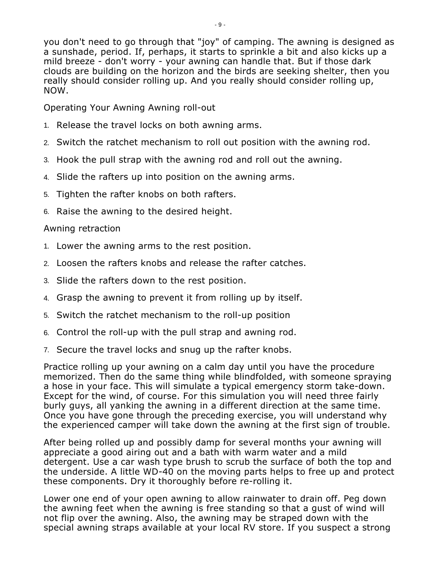you don't need to go through that "joy" of camping. The awning is designed as

a sunshade, period. If, perhaps, it starts to sprinkle a bit and also kicks up a mild breeze - don't worry - your awning can handle that. But if those dark clouds are building on the horizon and the birds are seeking shelter, then you really should consider rolling up. And you really should consider rolling up, NOW.

Operating Your Awning Awning roll-out

- 1. Release the travel locks on both awning arms.
- 2. Switch the ratchet mechanism to roll out position with the awning rod.
- 3. Hook the pull strap with the awning rod and roll out the awning.
- 4. Slide the rafters up into position on the awning arms.
- 5. Tighten the rafter knobs on both rafters.
- 6. Raise the awning to the desired height.

## Awning retraction

- 1. Lower the awning arms to the rest position.
- 2. Loosen the rafters knobs and release the rafter catches.
- 3. Slide the rafters down to the rest position.
- 4. Grasp the awning to prevent it from rolling up by itself.
- 5. Switch the ratchet mechanism to the roll-up position
- 6. Control the roll-up with the pull strap and awning rod.
- 7. Secure the travel locks and snug up the rafter knobs.

Practice rolling up your awning on a calm day until you have the procedure memorized. Then do the same thing while blindfolded, with someone spraying a hose in your face. This will simulate a typical emergency storm take-down. Except for the wind, of course. For this simulation you will need three fairly burly guys, all yanking the awning in a different direction at the same time. Once you have gone through the preceding exercise, you will understand why the experienced camper will take down the awning at the first sign of trouble.

After being rolled up and possibly damp for several months your awning will appreciate a good airing out and a bath with warm water and a mild detergent. Use a car wash type brush to scrub the surface of both the top and the underside. A little WD-40 on the moving parts helps to free up and protect these components. Dry it thoroughly before re-rolling it.

Lower one end of your open awning to allow rainwater to drain off. Peg down the awning feet when the awning is free standing so that a gust of wind will not flip over the awning. Also, the awning may be straped down with the special awning straps available at your local RV store. If you suspect a strong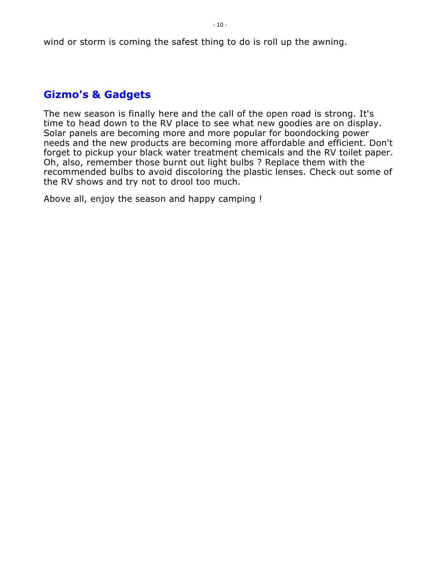wind or storm is coming the safest thing to do is roll up the awning.

## **Gizmo's & Gadgets**

The new season is finally here and the call of the open road is strong. It's time to head down to the RV place to see what new goodies are on display. Solar panels are becoming more and more popular for boondocking power needs and the new products are becoming more affordable and efficient. Don't forget to pickup your black water treatment chemicals and the RV toilet paper. Oh, also, remember those burnt out light bulbs ? Replace them with the recommended bulbs to avoid discoloring the plastic lenses. Check out some of the RV shows and try not to drool too much.

Above all, enjoy the season and happy camping !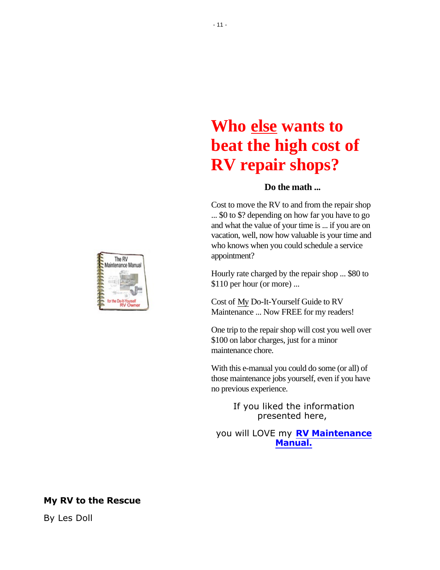# **Who else wants to beat the high cost of RV repair shops?**

#### **Do the math ...**

Cost to move the RV to and from the repair shop ... \$0 to \$? depending on how far you have to go and what the value of your time is ... if you are on vacation, well, now how valuable is your time and who knows when you could schedule a service appointment?

Hourly rate charged by the repair shop ... \$80 to \$110 per hour (or more) ...

Cost of My Do-It-Yourself Guide to RV Maintenance ... Now FREE for my readers!

One trip to the repair shop will cost you well over \$100 on labor charges, just for a minor maintenance chore.

With this e-manual you could do some (or all) of those maintenance jobs yourself, even if you have no previous experience.

> If you liked the information presented here,

you will LOVE my **[RV Maintenance](https://www.rverscorner.com/RV_Maintenance_Manual.html) [Manual.](https://www.rverscorner.com/RV_Maintenance_Manual.html)**



#### **My RV to the Rescue**

By Les Doll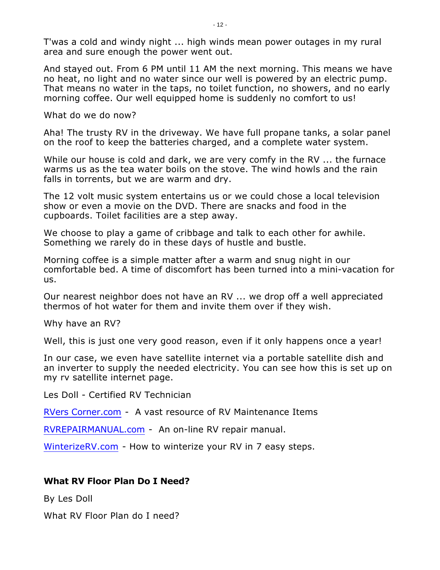T'was a cold and windy night ... high winds mean power outages in my rural area and sure enough the power went out.

And stayed out. From 6 PM until 11 AM the next morning. This means we have no heat, no light and no water since our well is powered by an electric pump. That means no water in the taps, no toilet function, no showers, and no early morning coffee. Our well equipped home is suddenly no comfort to us!

What do we do now?

Aha! The trusty RV in the driveway. We have full propane tanks, a solar panel on the roof to keep the batteries charged, and a complete water system.

While our house is cold and dark, we are very comfy in the RV ... the furnace warms us as the tea water boils on the stove. The wind howls and the rain falls in torrents, but we are warm and dry.

The 12 volt music system entertains us or we could chose a local television show or even a movie on the DVD. There are snacks and food in the cupboards. Toilet facilities are a step away.

We choose to play a game of cribbage and talk to each other for awhile. Something we rarely do in these days of hustle and bustle.

Morning coffee is a simple matter after a warm and snug night in our comfortable bed. A time of discomfort has been turned into a mini-vacation for us.

Our nearest neighbor does not have an RV ... we drop off a well appreciated thermos of hot water for them and invite them over if they wish.

Why have an RV?

Well, this is just one very good reason, even if it only happens once a year!

In our case, we even have satellite internet via a portable satellite dish and an inverter to supply the needed electricity. You can see how this is set up on my rv satellite internet page.

Les Doll - Certified RV Technician

[RVers Corner.com](http://www.rverscorner.com) - A vast resource of RV Maintenance Items

[RVREPAIRMANUAL.com](http://www.rvrepairmanual.com) - An on-line RV repair manual.

[WinterizeRV.com](winterizerv.com) - How to winterize your RV in 7 easy steps.

#### **What RV Floor Plan Do I Need?**

By Les Doll

What RV Floor Plan do I need?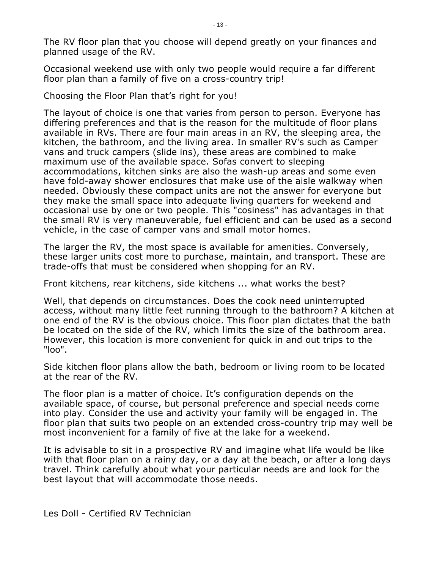The RV floor plan that you choose will depend greatly on your finances and planned usage of the RV.

Occasional weekend use with only two people would require a far different floor plan than a family of five on a cross-country trip!

Choosing the Floor Plan that's right for you!

The layout of choice is one that varies from person to person. Everyone has differing preferences and that is the reason for the multitude of floor plans available in RVs. There are four main areas in an RV, the sleeping area, the kitchen, the bathroom, and the living area. In smaller RV's such as Camper vans and truck campers (slide ins), these areas are combined to make maximum use of the available space. Sofas convert to sleeping accommodations, kitchen sinks are also the wash-up areas and some even have fold-away shower enclosures that make use of the aisle walkway when needed. Obviously these compact units are not the answer for everyone but they make the small space into adequate living quarters for weekend and occasional use by one or two people. This "cosiness" has advantages in that the small RV is very maneuverable, fuel efficient and can be used as a second vehicle, in the case of camper vans and small motor homes.

The larger the RV, the most space is available for amenities. Conversely, these larger units cost more to purchase, maintain, and transport. These are trade-offs that must be considered when shopping for an RV.

Front kitchens, rear kitchens, side kitchens ... what works the best?

Well, that depends on circumstances. Does the cook need uninterrupted access, without many little feet running through to the bathroom? A kitchen at one end of the RV is the obvious choice. This floor plan dictates that the bath be located on the side of the RV, which limits the size of the bathroom area. However, this location is more convenient for quick in and out trips to the "loo".

Side kitchen floor plans allow the bath, bedroom or living room to be located at the rear of the RV.

The floor plan is a matter of choice. It's configuration depends on the available space, of course, but personal preference and special needs come into play. Consider the use and activity your family will be engaged in. The floor plan that suits two people on an extended cross-country trip may well be most inconvenient for a family of five at the lake for a weekend.

It is advisable to sit in a prospective RV and imagine what life would be like with that floor plan on a rainy day, or a day at the beach, or after a long days travel. Think carefully about what your particular needs are and look for the best layout that will accommodate those needs.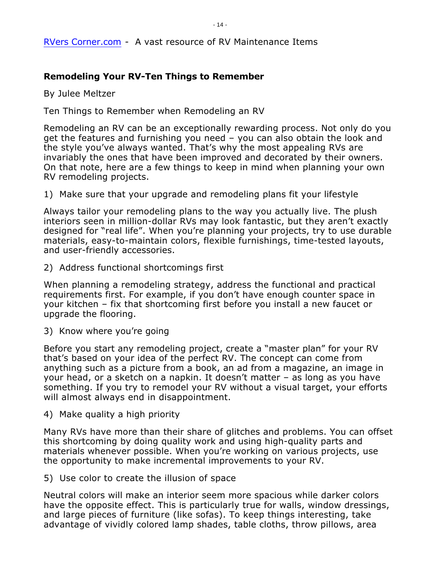#### [RVers Corner.com](http://www.rverscorner.com) - A vast resource of RV Maintenance Items

## **Remodeling Your RV-Ten Things to Remember**

By Julee Meltzer

Ten Things to Remember when Remodeling an RV

Remodeling an RV can be an exceptionally rewarding process. Not only do you get the features and furnishing you need – you can also obtain the look and the style you've always wanted. That's why the most appealing RVs are invariably the ones that have been improved and decorated by their owners. On that note, here are a few things to keep in mind when planning your own RV remodeling projects.

1) Make sure that your upgrade and remodeling plans fit your lifestyle

Always tailor your remodeling plans to the way you actually live. The plush interiors seen in million-dollar RVs may look fantastic, but they aren't exactly designed for "real life". When you're planning your projects, try to use durable materials, easy-to-maintain colors, flexible furnishings, time-tested layouts, and user-friendly accessories.

2) Address functional shortcomings first

When planning a remodeling strategy, address the functional and practical requirements first. For example, if you don't have enough counter space in your kitchen – fix that shortcoming first before you install a new faucet or upgrade the flooring.

3) Know where you're going

Before you start any remodeling project, create a "master plan" for your RV that's based on your idea of the perfect RV. The concept can come from anything such as a picture from a book, an ad from a magazine, an image in your head, or a sketch on a napkin. It doesn't matter – as long as you have something. If you try to remodel your RV without a visual target, your efforts will almost always end in disappointment.

4) Make quality a high priority

Many RVs have more than their share of glitches and problems. You can offset this shortcoming by doing quality work and using high-quality parts and materials whenever possible. When you're working on various projects, use the opportunity to make incremental improvements to your RV.

5) Use color to create the illusion of space

Neutral colors will make an interior seem more spacious while darker colors have the opposite effect. This is particularly true for walls, window dressings, and large pieces of furniture (like sofas). To keep things interesting, take advantage of vividly colored lamp shades, table cloths, throw pillows, area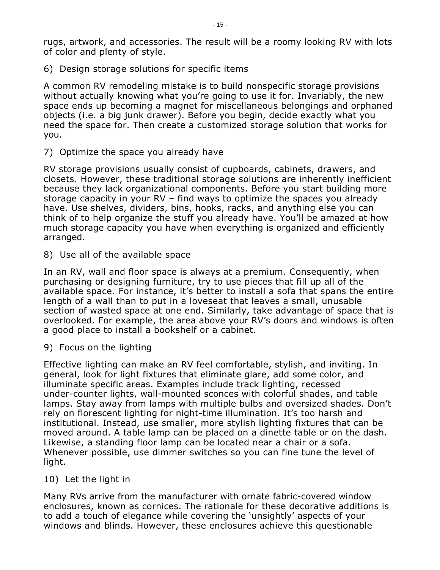rugs, artwork, and accessories. The result will be a roomy looking RV with lots of color and plenty of style.

6) Design storage solutions for specific items

A common RV remodeling mistake is to build nonspecific storage provisions without actually knowing what you're going to use it for. Invariably, the new space ends up becoming a magnet for miscellaneous belongings and orphaned objects (i.e. a big junk drawer). Before you begin, decide exactly what you need the space for. Then create a customized storage solution that works for you.

7) Optimize the space you already have

RV storage provisions usually consist of cupboards, cabinets, drawers, and closets. However, these traditional storage solutions are inherently inefficient because they lack organizational components. Before you start building more storage capacity in your RV – find ways to optimize the spaces you already have. Use shelves, dividers, bins, hooks, racks, and anything else you can think of to help organize the stuff you already have. You'll be amazed at how much storage capacity you have when everything is organized and efficiently arranged.

8) Use all of the available space

In an RV, wall and floor space is always at a premium. Consequently, when purchasing or designing furniture, try to use pieces that fill up all of the available space. For instance, it's better to install a sofa that spans the entire length of a wall than to put in a loveseat that leaves a small, unusable section of wasted space at one end. Similarly, take advantage of space that is overlooked. For example, the area above your RV's doors and windows is often a good place to install a bookshelf or a cabinet.

9) Focus on the lighting

Effective lighting can make an RV feel comfortable, stylish, and inviting. In general, look for light fixtures that eliminate glare, add some color, and illuminate specific areas. Examples include track lighting, recessed under-counter lights, wall-mounted sconces with colorful shades, and table lamps. Stay away from lamps with multiple bulbs and oversized shades. Don't rely on florescent lighting for night-time illumination. It's too harsh and institutional. Instead, use smaller, more stylish lighting fixtures that can be moved around. A table lamp can be placed on a dinette table or on the dash. Likewise, a standing floor lamp can be located near a chair or a sofa. Whenever possible, use dimmer switches so you can fine tune the level of light.

#### 10) Let the light in

Many RVs arrive from the manufacturer with ornate fabric-covered window enclosures, known as cornices. The rationale for these decorative additions is to add a touch of elegance while covering the 'unsightly' aspects of your windows and blinds. However, these enclosures achieve this questionable